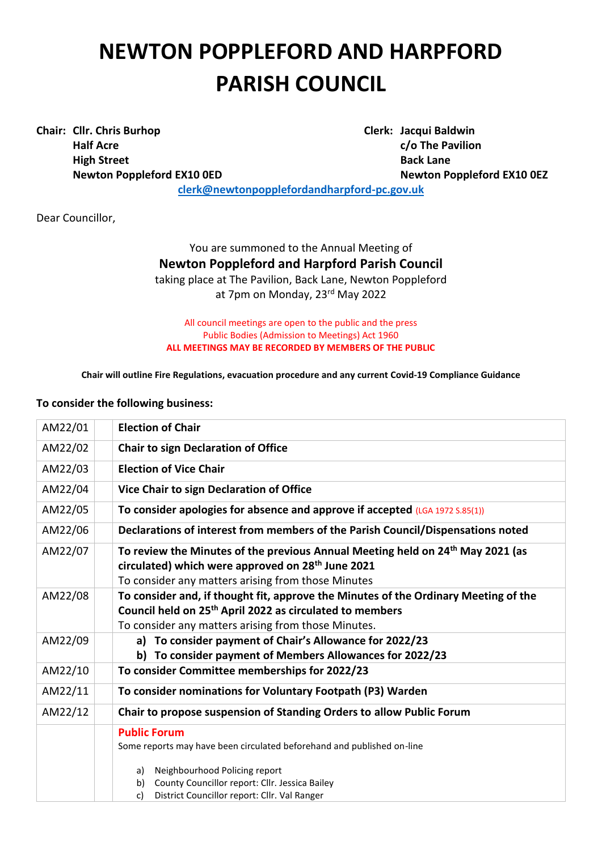## **NEWTON POPPLEFORD AND HARPFORD PARISH COUNCIL**

**Chair: Cllr. Chris Burhop Clerk: Jacqui Baldwin Half Acre c/o The Pavilion High Street Back Lane** 

**Newton Poppleford EX10 0ED Newton Poppleford EX10 0EZ**

**[clerk@newtonpopplefordandharpford-pc.gov.uk](mailto:clerk@newtonpopplefordandharpford-pc.gov.uk)**

Dear Councillor,

You are summoned to the Annual Meeting of **Newton Poppleford and Harpford Parish Council** taking place at The Pavilion, Back Lane, Newton Poppleford at 7pm on Monday, 23<sup>rd</sup> May 2022

All council meetings are open to the public and the press Public Bodies (Admission to Meetings) Act 1960 **ALL MEETINGS MAY BE RECORDED BY MEMBERS OF THE PUBLIC**

**Chair will outline Fire Regulations, evacuation procedure and any current Covid-19 Compliance Guidance**

## **To consider the following business:**

| AM22/01 | <b>Election of Chair</b>                                                                                                                                    |
|---------|-------------------------------------------------------------------------------------------------------------------------------------------------------------|
| AM22/02 | <b>Chair to sign Declaration of Office</b>                                                                                                                  |
| AM22/03 | <b>Election of Vice Chair</b>                                                                                                                               |
| AM22/04 | Vice Chair to sign Declaration of Office                                                                                                                    |
| AM22/05 | To consider apologies for absence and approve if accepted (LGA 1972 S.85(1))                                                                                |
| AM22/06 | Declarations of interest from members of the Parish Council/Dispensations noted                                                                             |
| AM22/07 | To review the Minutes of the previous Annual Meeting held on 24 <sup>th</sup> May 2021 (as<br>circulated) which were approved on 28 <sup>th</sup> June 2021 |
| AM22/08 | To consider any matters arising from those Minutes<br>To consider and, if thought fit, approve the Minutes of the Ordinary Meeting of the                   |
|         | Council held on 25 <sup>th</sup> April 2022 as circulated to members                                                                                        |
|         | To consider any matters arising from those Minutes.                                                                                                         |
| AM22/09 | a) To consider payment of Chair's Allowance for 2022/23                                                                                                     |
|         | b) To consider payment of Members Allowances for 2022/23                                                                                                    |
| AM22/10 | To consider Committee memberships for 2022/23                                                                                                               |
| AM22/11 | To consider nominations for Voluntary Footpath (P3) Warden                                                                                                  |
| AM22/12 | Chair to propose suspension of Standing Orders to allow Public Forum                                                                                        |
|         | <b>Public Forum</b>                                                                                                                                         |
|         | Some reports may have been circulated beforehand and published on-line                                                                                      |
|         | Neighbourhood Policing report<br>a)                                                                                                                         |
|         | County Councillor report: Cllr. Jessica Bailey<br>b)                                                                                                        |
|         | District Councillor report: Cllr. Val Ranger<br>c)                                                                                                          |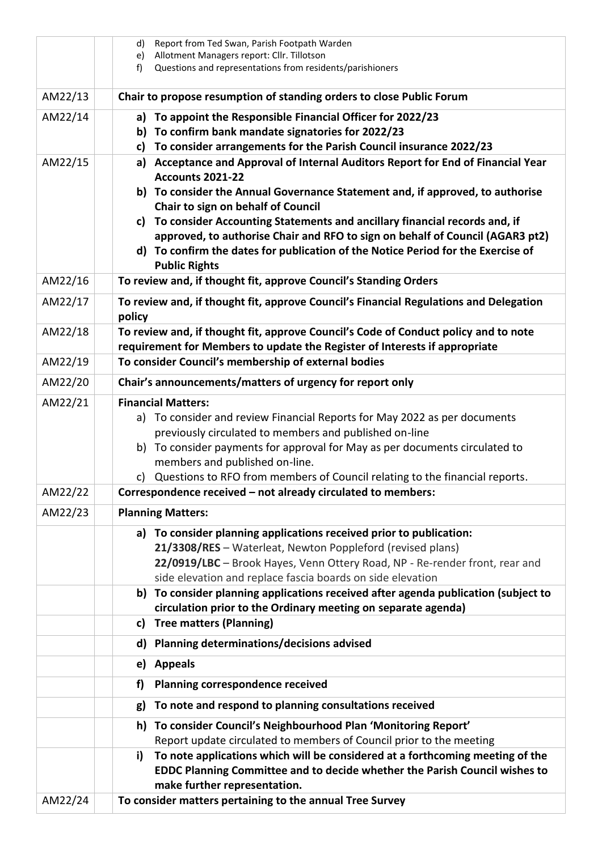|         | Report from Ted Swan, Parish Footpath Warden<br>d)                                                                                        |
|---------|-------------------------------------------------------------------------------------------------------------------------------------------|
|         | Allotment Managers report: Cllr. Tillotson<br>e)                                                                                          |
|         | Questions and representations from residents/parishioners<br>f)                                                                           |
| AM22/13 | Chair to propose resumption of standing orders to close Public Forum                                                                      |
| AM22/14 | a) To appoint the Responsible Financial Officer for 2022/23                                                                               |
|         | b) To confirm bank mandate signatories for 2022/23                                                                                        |
|         | To consider arrangements for the Parish Council insurance 2022/23<br>c)                                                                   |
| AM22/15 | Acceptance and Approval of Internal Auditors Report for End of Financial Year<br>a)                                                       |
|         | <b>Accounts 2021-22</b>                                                                                                                   |
|         | b) To consider the Annual Governance Statement and, if approved, to authorise<br>Chair to sign on behalf of Council                       |
|         | c) To consider Accounting Statements and ancillary financial records and, if                                                              |
|         | approved, to authorise Chair and RFO to sign on behalf of Council (AGAR3 pt2)                                                             |
|         | d) To confirm the dates for publication of the Notice Period for the Exercise of                                                          |
|         | <b>Public Rights</b>                                                                                                                      |
| AM22/16 | To review and, if thought fit, approve Council's Standing Orders                                                                          |
| AM22/17 | To review and, if thought fit, approve Council's Financial Regulations and Delegation<br>policy                                           |
| AM22/18 | To review and, if thought fit, approve Council's Code of Conduct policy and to note                                                       |
|         | requirement for Members to update the Register of Interests if appropriate                                                                |
| AM22/19 | To consider Council's membership of external bodies                                                                                       |
| AM22/20 | Chair's announcements/matters of urgency for report only                                                                                  |
| AM22/21 | <b>Financial Matters:</b>                                                                                                                 |
|         | a) To consider and review Financial Reports for May 2022 as per documents                                                                 |
|         | previously circulated to members and published on-line                                                                                    |
|         | b) To consider payments for approval for May as per documents circulated to<br>members and published on-line.                             |
|         | Questions to RFO from members of Council relating to the financial reports.<br>C)                                                         |
| AM22/22 | Correspondence received - not already circulated to members:                                                                              |
| AM22/23 | <b>Planning Matters:</b>                                                                                                                  |
|         |                                                                                                                                           |
|         | a) To consider planning applications received prior to publication:                                                                       |
|         | 21/3308/RES - Waterleat, Newton Poppleford (revised plans)<br>22/0919/LBC - Brook Hayes, Venn Ottery Road, NP - Re-render front, rear and |
|         | side elevation and replace fascia boards on side elevation                                                                                |
|         | To consider planning applications received after agenda publication (subject to<br>b)                                                     |
|         | circulation prior to the Ordinary meeting on separate agenda)                                                                             |
|         | <b>Tree matters (Planning)</b><br>c)                                                                                                      |
|         | Planning determinations/decisions advised<br>d)                                                                                           |
|         | <b>Appeals</b><br>e)                                                                                                                      |
|         | Planning correspondence received<br>f)                                                                                                    |
|         | To note and respond to planning consultations received<br>g)                                                                              |
|         | To consider Council's Neighbourhood Plan 'Monitoring Report'<br>h)                                                                        |
|         | Report update circulated to members of Council prior to the meeting                                                                       |
|         | To note applications which will be considered at a forthcoming meeting of the<br>i)                                                       |
|         | EDDC Planning Committee and to decide whether the Parish Council wishes to<br>make further representation.                                |
| AM22/24 | To consider matters pertaining to the annual Tree Survey                                                                                  |
|         |                                                                                                                                           |